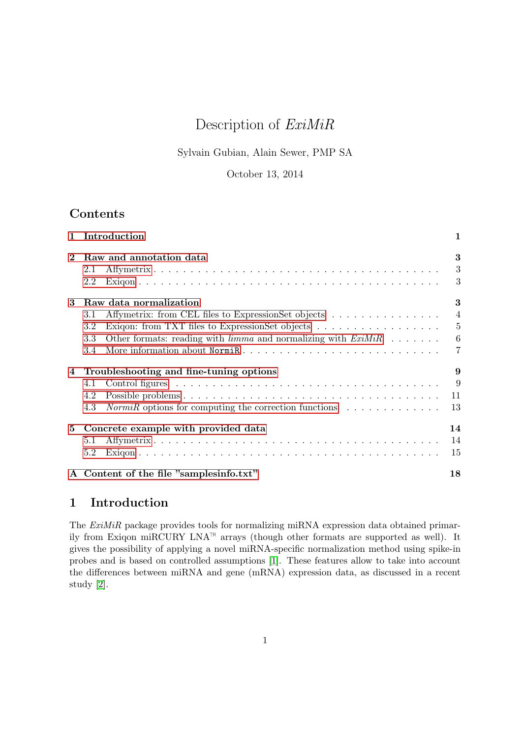# Description of ExiMiR

# Sylvain Gubian, Alain Sewer, PMP SA

### October 13, 2014

# <span id="page-0-1"></span>Contents

| $\mathbf{1}$ | Introduction                                                                                                                                                                                                                                                               | $\mathbf{1}$                                       |
|--------------|----------------------------------------------------------------------------------------------------------------------------------------------------------------------------------------------------------------------------------------------------------------------------|----------------------------------------------------|
|              | Raw and annotation data<br>2.1<br>2.2                                                                                                                                                                                                                                      | 3<br>3<br>3                                        |
| 3            | Raw data normalization<br>Affymetrix: from CEL files to ExpressionSet objects<br>3.1<br>Exigon: from TXT files to ExpressionSet objects<br>$3.2\,$<br>Other formats: reading with $limma$ and normalizing with $ExiMiR$<br>$3.3\,$<br>More information about NormiR<br>3.4 | 3<br>$\overline{4}$<br>$\overline{5}$<br>$-6$<br>7 |
| 4            | Troubleshooting and fine-tuning options<br>4.1<br>4.2<br>$NormiR$ options for computing the correction functions $\ldots \ldots \ldots \ldots$<br>4.3                                                                                                                      | 9<br>$\overline{9}$<br>11<br>13                    |
| 5            | Concrete example with provided data<br>5.1<br>5.2                                                                                                                                                                                                                          | 14<br>14<br>15                                     |
|              | A Content of the file "samplesinfo.txt"                                                                                                                                                                                                                                    | 18                                                 |

# <span id="page-0-0"></span>1 Introduction

The ExiMiR package provides tools for normalizing miRNA expression data obtained primarily from Exiqon miRCURY LNA<sup> $M$ </sup> arrays (though other formats are supported as well). It gives the possibility of applying a novel miRNA-specific normalization method using spike-in probes and is based on controlled assumptions [\[1\]](#page-16-0). These features allow to take into account the differences between miRNA and gene (mRNA) expression data, as discussed in a recent study [\[2\]](#page-16-1).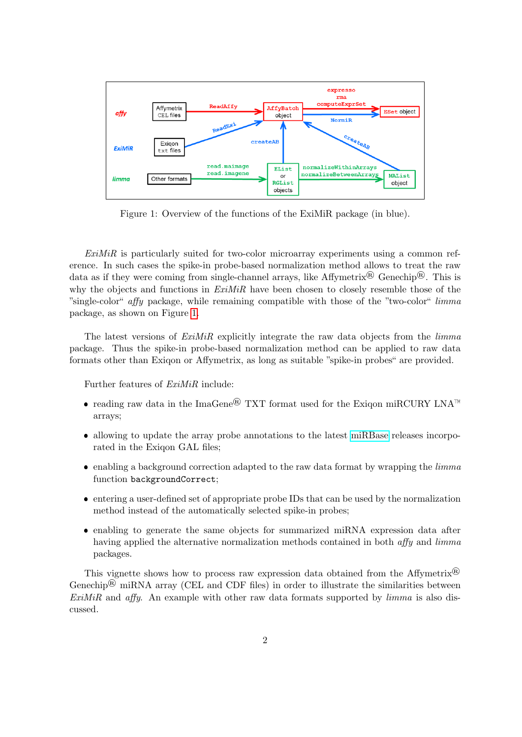

<span id="page-1-0"></span>Figure 1: Overview of the functions of the ExiMiR package (in blue).

 $ExiMiR$  is particularly suited for two-color microarray experiments using a common reference. In such cases the spike-in probe-based normalization method allows to treat the raw data as if they were coming from single-channel arrays, like Affymetrix<sup>®</sup> Genechip<sup>®</sup>. This is why the objects and functions in  $ExiMiR$  have been chosen to closely resemble those of the "single-color" affy package, while remaining compatible with those of the "two-color" limma package, as shown on Figure [1.](#page-1-0)

The latest versions of  $ExiMiR$  explicitly integrate the raw data objects from the *limma* package. Thus the spike-in probe-based normalization method can be applied to raw data formats other than Exiqon or Affymetrix, as long as suitable "spike-in probes" are provided.

Further features of ExiMiR include:

- reading raw data in the ImaGene® TXT format used for the Exiqon miRCURY LNA<sup>™</sup> arrays;
- allowing to update the array probe annotations to the latest [miRBase](http://www.mirbase.org) releases incorporated in the Exigon GAL files:
- $\bullet$  enabling a background correction adapted to the raw data format by wrapping the *limma* function backgroundCorrect;
- entering a user-defined set of appropriate probe IDs that can be used by the normalization method instead of the automatically selected spike-in probes;
- enabling to generate the same objects for summarized miRNA expression data after having applied the alternative normalization methods contained in both affy and limma packages.

This vignette shows how to process raw expression data obtained from the Affymetrix<sup>®</sup> Genechip<sup>®</sup> miRNA array (CEL and CDF files) in order to illustrate the similarities between  $ExiMiR$  and affy. An example with other raw data formats supported by  $limma$  is also discussed.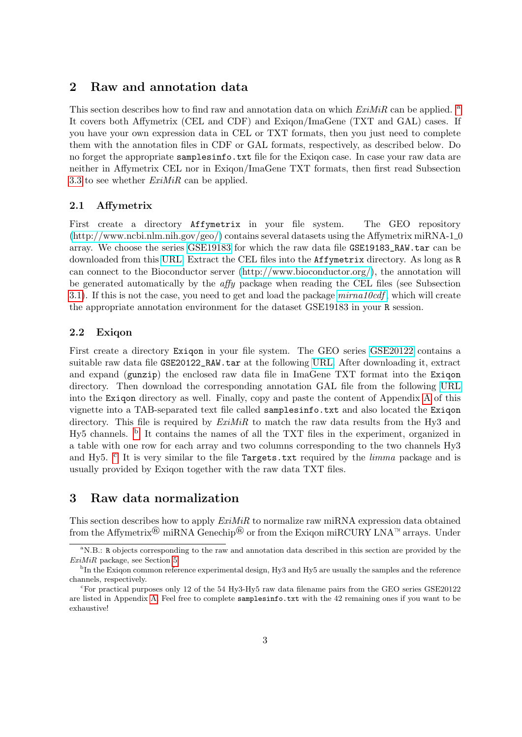## <span id="page-2-0"></span>2 Raw and annotation data

This section describes how to find r[a](#page-2-4)w and annotation data on which  $ExiMiR$  can be applied. <sup>a</sup> It covers both Affymetrix (CEL and CDF) and Exiqon/ImaGene (TXT and GAL) cases. If you have your own expression data in CEL or TXT formats, then you just need to complete them with the annotation files in CDF or GAL formats, respectively, as described below. Do no forget the appropriate samplesinfo.txt file for the Exiqon case. In case your raw data are neither in Affymetrix CEL nor in Exiqon/ImaGene TXT formats, then first read Subsection [3.3](#page-5-0) to see whether  $ExiMiR$  can be applied.

#### <span id="page-2-1"></span>2.1 Affymetrix

First create a directory Affymetrix in your file system. The GEO repository  $(\text{http://www.ncbi.nlm.nih.gov/geo/})$  contains several datasets using the Affymetrix miRNA-1.0 array. We choose the series [GSE19183](http://www.ncbi.nlm.nih.gov/geo/query/acc.cgi?acc=GSE19183) for which the raw data file GSE19183\_RAW.tar can be downloaded from this [URL.](http://www.ncbi.nlm.nih.gov/geosuppl/?acc=GSE19183) Extract the CEL files into the Affymetrix directory. As long as R can connect to the Bioconductor server [\(http://www.bioconductor.org/\)](http://www.bioconductor.org/), the annotation will be generated automatically by the affy package when reading the CEL files (see Subsection [3.1\)](#page-3-0). If this is not the case, you need to get and load the package  $minimal0cdf$ , which will create the appropriate annotation environment for the dataset GSE19183 in your R session.

#### <span id="page-2-2"></span>2.2 Exiqon

First create a directory Exiqon in your file system. The GEO series [GSE20122](http://www.ncbi.nlm.nih.gov/geo/query/acc.cgi?acc=GSE20122) contains a suitable raw data file GSE20122\_RAW.tar at the following [URL.](http://www.ncbi.nlm.nih.gov/geosuppl/?acc=GSE20122) After downloading it, extract and expand (gunzip) the enclosed raw data file in ImaGene TXT format into the Exiqon directory. Then download the corresponding annotation GAL file from the following [URL](http://shop.exiqon.com/annotations/download/gal_208200-A,208201-A,208202-A_lot31022-31022_hsa,mmu,rno-and-related-vira_from_mb160,miRPlus.gal) into the Exiqon directory as well. Finally, copy and paste the content of Appendix [A](#page-17-0) of this vignette into a TAB-separated text file called samplesinfo.txt and also located the Exiqon directory. This file is required by  $ExiMiR$  to match the raw data results from the Hy3 and Hy5 channels. <sup>[b](#page-2-5)</sup> It contains the names of all the TXT files in the experiment, organized in a table with one row for each array and two columns corresponding to the two channels Hy3 and Hy5. <sup>[c](#page-2-6)</sup> It is very similar to the file Targets.txt required by the *limma* package and is usually provided by Exiqon together with the raw data TXT files.

## <span id="page-2-3"></span>3 Raw data normalization

This section describes how to apply  $ExiMiR$  to normalize raw miRNA expression data obtained from the Affymetrix<sup>®</sup> miRNA Genechip<sup>®</sup> or from the Exigon miRCURY LNA<sup>™</sup> arrays. Under

<span id="page-2-4"></span><sup>&</sup>lt;sup>a</sup>N.B.: R objects corresponding to the raw and annotation data described in this section are provided by the ExiMiR package, see Section [5](#page-13-0)

<span id="page-2-5"></span><sup>&</sup>lt;sup>b</sup>In the Exiqon common reference experimental design, Hy3 and Hy5 are usually the samples and the reference channels, respectively.

<span id="page-2-6"></span><sup>&</sup>lt;sup>c</sup>For practical purposes only 12 of the 54 Hy3-Hy5 raw data filename pairs from the GEO series GSE20122 are listed in Appendix [A.](#page-17-0) Feel free to complete samplesinfo.txt with the 42 remaining ones if you want to be exhaustive!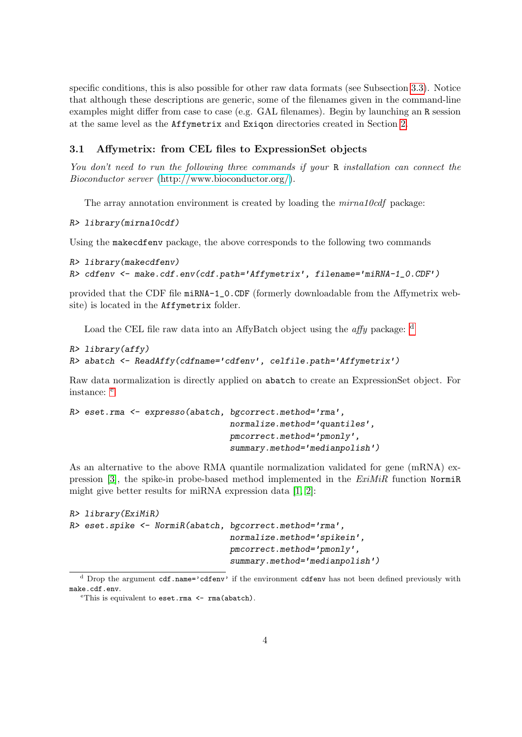specific conditions, this is also possible for other raw data formats (see Subsection [3.3\)](#page-5-0). Notice that although these descriptions are generic, some of the filenames given in the command-line examples might differ from case to case (e.g. GAL filenames). Begin by launching an R session at the same level as the Affymetrix and Exiqon directories created in Section [2.](#page-2-0)

### <span id="page-3-0"></span>3.1 Affymetrix: from CEL files to ExpressionSet objects

You don't need to run the following three commands if your R installation can connect the Bioconductor server [\(http://www.bioconductor.org/\)](http://www.bioconductor.org/).

The array annotation environment is created by loading the  $mirna10cdf$  package:

R> library(mirna10cdf)

Using the makecdfenv package, the above corresponds to the following two commands

```
R> library(makecdfenv)
R> cdfenv <- make.cdf.env(cdf.path='Affymetrix', filename='miRNA-1_0.CDF')
```
provided that the CDF file miRNA-1\_0.CDF (formerly downloadable from the Affymetrix website) is located in the Affymetrix folder.

Loa[d](#page-3-1) the CEL file raw data into an AffyBatch object using the *affy* package:  $\frac{d}{dx}$ 

```
R> library(affy)
R> abatch <- ReadAffy(cdfname='cdfenv', celfile.path='Affymetrix')
```
Raw data normalization is directly applied on abatch to create an ExpressionSet object. For instanc[e](#page-3-2): <sup>e</sup>

```
R> eset.rma <- expresso(abatch, bgcorrect.method='rma',
                                normalize.method='quantiles',
                                pmcorrect.method='pmonly',
                                summary.method='medianpolish')
```
As an alternative to the above RMA quantile normalization validated for gene (mRNA) ex-pression [\[3\]](#page-16-2), the spike-in probe-based method implemented in the  $ExiMiR$  function Norming might give better results for miRNA expression data [\[1,](#page-16-0) [2\]](#page-16-1):

```
R> library(ExiMiR)
R> eset.spike <- NormiR(abatch, bgcorrect.method='rma',
                                normalize.method='spikein',
                                pmcorrect.method='pmonly',
                                summary.method='medianpolish')
```
<span id="page-3-1"></span><sup>&</sup>lt;sup>d</sup> Drop the argument cdf.name='cdfenv' if the environment cdfenv has not been defined previously with make.cdf.env.

<span id="page-3-2"></span>eThis is equivalent to eset.rma <- rma(abatch).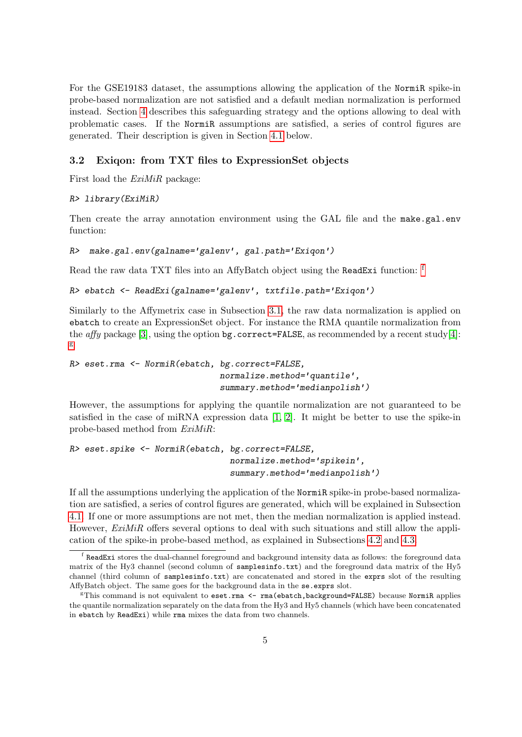For the GSE19183 dataset, the assumptions allowing the application of the NormiR spike-in probe-based normalization are not satisfied and a default median normalization is performed instead. Section [4](#page-8-0) describes this safeguarding strategy and the options allowing to deal with problematic cases. If the NormiR assumptions are satisfied, a series of control figures are generated. Their description is given in Section [4.1](#page-8-1) below.

#### <span id="page-4-0"></span>3.2 Exiqon: from TXT files to ExpressionSet objects

First load the ExiMiR package:

#### R> library(ExiMiR)

Then create the array annotation environment using the GAL file and the make.gal.env function:

```
R> make.gal.env(galname='galenv', gal.path='Exiqon')
```
Read the raw data TXT [f](#page-4-1)iles into an AffyBatch object using the ReadExi function: <sup>f</sup>

```
R> ebatch <- ReadExi(galname='galenv', txtfile.path='Exiqon')
```
Similarly to the Affymetrix case in Subsection [3.1,](#page-3-0) the raw data normalization is applied on ebatch to create an ExpressionSet object. For instance the RMA quantile normalization from the *affy* package [\[3\]](#page-16-2), using the option bg.correct=FALSE, as recommended by a recent study[\[4\]](#page-16-3): [g](#page-4-2)

```
R> eset.rma <- NormiR(ebatch, bg.correct=FALSE,
                              normalize.method='quantile',
                              summary.method='medianpolish')
```
However, the assumptions for applying the quantile normalization are not guaranteed to be satisfied in the case of miRNA expression data  $[1, 2]$  $[1, 2]$ . It might be better to use the spike-in probe-based method from ExiMiR:

```
R> eset.spike <- NormiR(ebatch, bg.correct=FALSE,
                                normalize.method='spikein',
                                summary.method='medianpolish')
```
If all the assumptions underlying the application of the NormiR spike-in probe-based normalization are satisfied, a series of control figures are generated, which will be explained in Subsection [4.1.](#page-8-1) If one or more assumptions are not met, then the median normalization is applied instead. However,  $ExiMiR$  offers several options to deal with such situations and still allow the application of the spike-in probe-based method, as explained in Subsections [4.2](#page-10-0) and [4.3.](#page-12-0)

<span id="page-4-1"></span>f ReadExi stores the dual-channel foreground and background intensity data as follows: the foreground data matrix of the Hy3 channel (second column of samplesinfo.txt) and the foreground data matrix of the Hy5 channel (third column of samplesinfo.txt) are concatenated and stored in the exprs slot of the resulting AffyBatch object. The same goes for the background data in the se.exprs slot.

<span id="page-4-2"></span> $F$ This command is not equivalent to eset.rma <- rma(ebatch,background=FALSE) because NormiR applies the quantile normalization separately on the data from the Hy3 and Hy5 channels (which have been concatenated in ebatch by ReadExi) while rma mixes the data from two channels.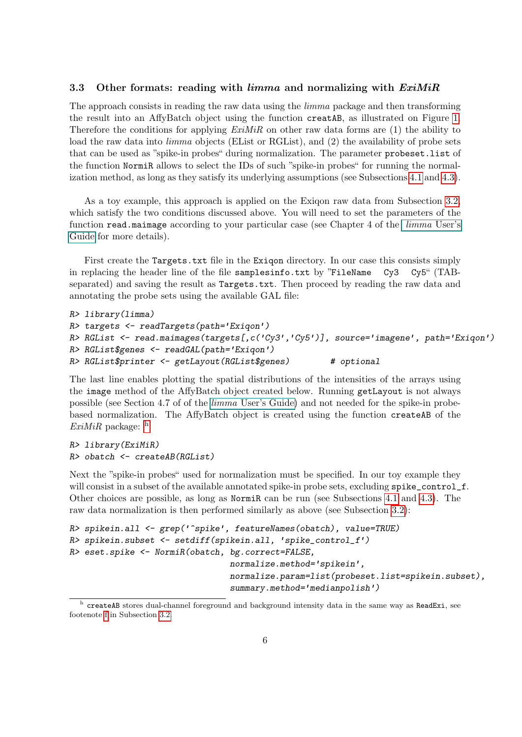#### <span id="page-5-0"></span>3.3 Other formats: reading with  $\lim_{m \to \infty}$  and normalizing with  $ExiMiR$

The approach consists in reading the raw data using the limma package and then transforming the result into an AffyBatch object using the function creatAB, as illustrated on Figure [1.](#page-1-0) Therefore the conditions for applying  $ExiMiR$  on other raw data forms are (1) the ability to load the raw data into *limma* objects (EList or RGList), and (2) the availability of probe sets that can be used as "spike-in probes" during normalization. The parameter probeset.list of the function NormiR allows to select the IDs of such "spike-in probes" for running the normalization method, as long as they satisfy its underlying assumptions (see Subsections [4.1](#page-8-1) and [4.3\)](#page-12-0).

As a toy example, this approach is applied on the Exiqon raw data from Subsection [3.2,](#page-4-0) which satisfy the two conditions discussed above. You will need to set the parameters of the function read.maimage according to your particular case (see Chapter 4 of the [limma](#page-0-1) User's [Guide](#page-0-1) for more details).

First create the Targets.txt file in the Exigon directory. In our case this consists simply in replacing the header line of the file samplesinfo.txt by "FileName  $Cy3$   $Cy5$ " (TABseparated) and saving the result as Targets.txt. Then proceed by reading the raw data and annotating the probe sets using the available GAL file:

```
R> library(limma)
R> targets <- readTargets(path='Exiqon')
R> RGList <- read.maimages(targets[,c('Cy3','Cy5')], source='imagene', path='Exiqon')
R> RGList$genes <- readGAL(path='Exiqon')
R> RGList$printer <- getLayout(RGList$genes) # optional
```
The last line enables plotting the spatial distributions of the intensities of the arrays using the image method of the AffyBatch object created below. Running getLayout is not always possible (see Section 4.7 of of the limma [User's Guide\)](#page-0-1) and not needed for the spike-in probebased normalization. The AffyBatch object is created using the function createAB of the  $ExiMiR$  package:  $<sup>h</sup>$  $<sup>h</sup>$  $<sup>h</sup>$ </sup>

```
R> library(ExiMiR)
R> obatch <- createAB(RGList)
```
Next the "spike-in probes" used for normalization must be specified. In our toy example they will consist in a subset of the available annotated spike-in probe sets, excluding spike\_control\_f. Other choices are possible, as long as NormiR can be run (see Subsections [4.1](#page-8-1) and [4.3\)](#page-12-0). The raw data normalization is then performed similarly as above (see Subsection [3.2\)](#page-4-0):

```
R> spikein.all <- grep('^spike', featureNames(obatch), value=TRUE)
R> spikein.subset <- setdiff(spikein.all, 'spike_control_f')
R> eset.spike <- NormiR(obatch, bg.correct=FALSE,
                                normalize.method='spikein',
                                normalize.param=list(probeset.list=spikein.subset),
                                summary.method='medianpolish')
```
<span id="page-5-1"></span><sup>&</sup>lt;sup>h</sup> createAB stores dual-channel foreground and background intensity data in the same way as ReadExi, see footenote [f](#page-4-1) in Subsection [3.2.](#page-4-0)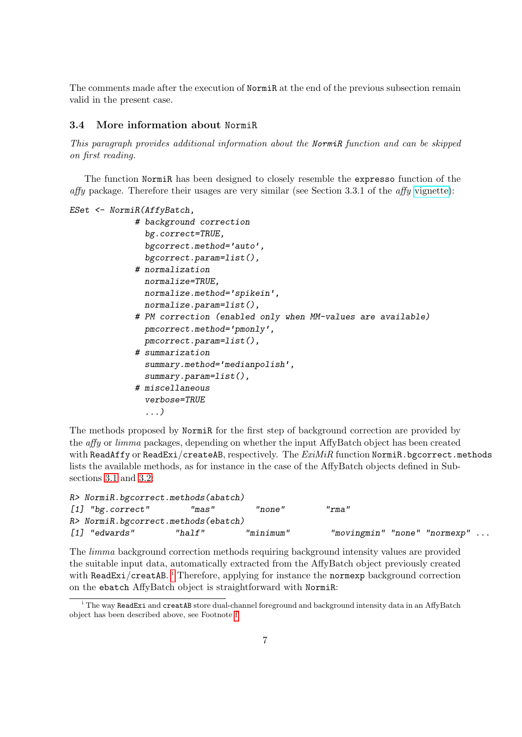The comments made after the execution of NormiR at the end of the previous subsection remain valid in the present case.

#### <span id="page-6-0"></span>3.4 More information about NormiR

This paragraph provides additional information about the NormiR function and can be skipped on first reading.

The function NormiR has been designed to closely resemble the expresso function of the affy package. Therefore their usages are very similar (see Section 3.3.1 of the affy [vignette\)](http://www.bioconductor.org/packages/release/bioc/vignettes/affy/inst/doc/affy.pdf):

```
ESet <- NormiR(AffyBatch,
             # background correction
               bg.correct=TRUE,
               bgcorrect.method='auto',
               bgcorrect.param=list(),
             # normalization
               normalize=TRUE,
               normalize.method='spikein',
               normalize.param=list(),
             # PM correction (enabled only when MM-values are available)
               pmcorrect.method='pmonly',
               pmcorrect.param=list(),
             # summarization
               summary.method='medianpolish',
               summary.param=list(),
             # miscellaneous
               verbose=TRUE
               ...)
```
The methods proposed by NormiR for the first step of background correction are provided by the affy or limma packages, depending on whether the input AffyBatch object has been created with ReadAffy or ReadExi/createAB, respectively. The  $ExIMiR$  function NormiR.bgcorrect.methods lists the available methods, as for instance in the case of the AffyBatch objects defined in Subsections [3.1](#page-3-0) and [3.2:](#page-4-0)

```
R> NormiR.bgcorrect.methods(abatch)
[1] "bg.correct" "mas" "none" "rma"
R> NormiR.bgcorrect.methods(ebatch)
[1] "edwards" "half" "minimum" "movingmin" "none" "normexp" ...
```
The limma background correction methods requiring background intensity values are provided the suitable input data, automatically extracted from the AffyBatch object previously created w[i](#page-6-1)th ReadExi/creatAB. <sup>i</sup> Therefore, applying for instance the normexp background correction on the ebatch AffyBatch object is straightforward with NormiR:

<span id="page-6-1"></span> $\mathrm{h}$  The way ReadExi and creatAB store dual-channel foreground and background intensity data in an AffyBatch object has been described above, see Footnote [f.](#page-4-1)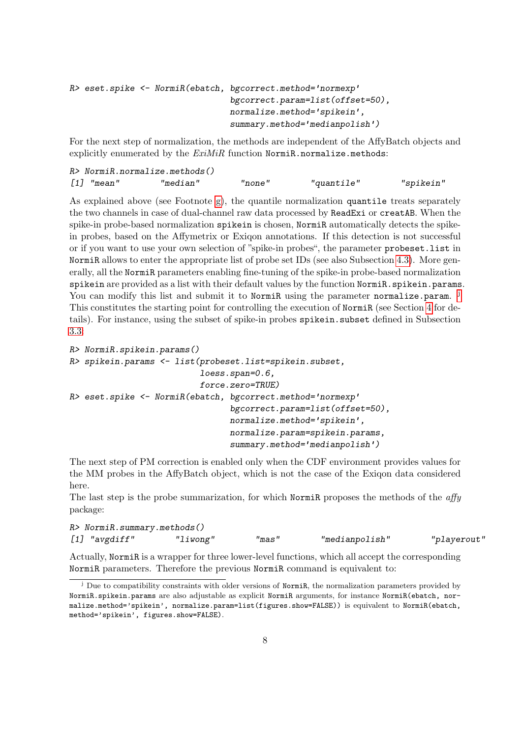```
R> eset.spike <- NormiR(ebatch, bgcorrect.method='normexp'
                                bgcorrect.param=list(offset=50),
                                normalize.method='spikein',
                                summary.method='medianpolish')
```
For the next step of normalization, the methods are independent of the AffyBatch objects and explicitly enumerated by the  $ExiMiR$  function NormiR.normalize.methods:

| $R$ > NormiR.normalize.methods() |          |        |            |           |
|----------------------------------|----------|--------|------------|-----------|
| [1] "mean"                       | "median" | "none" | "quantile" | "spikein" |

As explained above (see Footnote [g\)](#page-4-2), the quantile normalization quantile treats separately the two channels in case of dual-channel raw data processed by ReadExi or creatAB. When the spike-in probe-based normalization spikein is chosen, NormiR automatically detects the spikein probes, based on the Affymetrix or Exiqon annotations. If this detection is not successful or if you want to use your own selection of "spike-in probes", the parameter probeset.list in NormiR allows to enter the appropriate list of probe set IDs (see also Subsection [4.3\)](#page-12-0). More generally, all the NormiR parameters enabling fine-tuning of the spike-in probe-based normalization spikein are provided as a list with their default values by the function NormiR.spikein.params. You can modify this list and submit it to NormiR using the parameter normalize.param. <sup>[j](#page-7-0)</sup> This constitutes the starting point for controlling the execution of NormiR (see Section [4](#page-8-0) for details). For instance, using the subset of spike-in probes spikein.subset defined in Subsection [3.3:](#page-5-0)

```
R> NormiR.spikein.params()
R> spikein.params <- list(probeset.list=spikein.subset,
                          loess.span=0.6,
                          force.zero=TRUE)
R> eset.spike <- NormiR(ebatch, bgcorrect.method='normexp'
                                bgcorrect.param=list(offset=50),
                                normalize.method='spikein',
                                normalize.param=spikein.params,
                                summary.method='medianpolish')
```
The next step of PM correction is enabled only when the CDF environment provides values for the MM probes in the AffyBatch object, which is not the case of the Exiqon data considered here.

The last step is the probe summarization, for which NormiR proposes the methods of the  $affy$ package:

| R> NormiR.summary.methods() |                 |          |       |                |             |  |  |
|-----------------------------|-----------------|----------|-------|----------------|-------------|--|--|
|                             | $[1]$ "avgdiff" | "liwong" | "mas" | "medianpolish" | "playerout" |  |  |

Actually, NormiR is a wrapper for three lower-level functions, which all accept the corresponding NormiR parameters. Therefore the previous NormiR command is equivalent to:

<span id="page-7-0"></span><sup>&</sup>lt;sup>j</sup> Due to compatibility constraints with older versions of NormiR, the normalization parameters provided by NormiR.spikein.params are also adjustable as explicit NormiR arguments, for instance NormiR(ebatch, normalize.method='spikein', normalize.param=list(figures.show=FALSE)) is equivalent to NormiR(ebatch, method='spikein', figures.show=FALSE).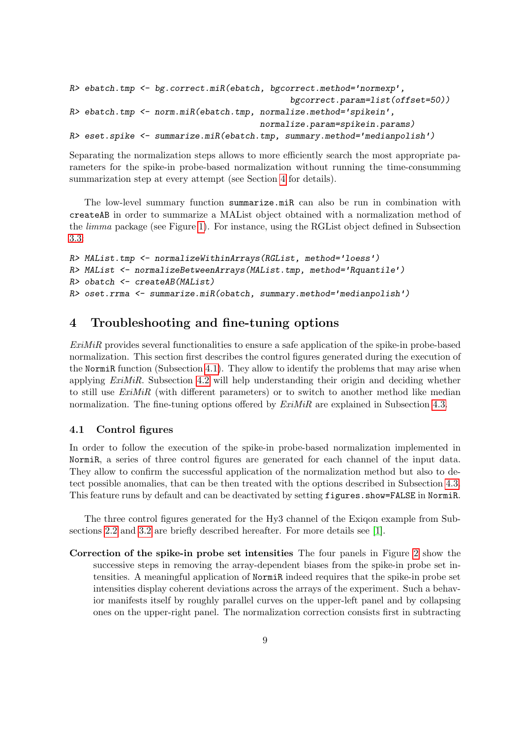```
R> ebatch.tmp <- bg.correct.miR(ebatch, bgcorrect.method='normexp',
                                            bgcorrect.param=list(offset=50))
R> ebatch.tmp <- norm.miR(ebatch.tmp, normalize.method='spikein',
                                      normalize.param=spikein.params)
R> eset.spike <- summarize.miR(ebatch.tmp, summary.method='medianpolish')
```
Separating the normalization steps allows to more efficiently search the most appropriate parameters for the spike-in probe-based normalization without running the time-consumming summarization step at every attempt (see Section [4](#page-8-0) for details).

The low-level summary function summarize.miR can also be run in combination with createAB in order to summarize a MAList object obtained with a normalization method of the limma package (see Figure [1\)](#page-1-0). For instance, using the RGList object defined in Subsection [3.3:](#page-5-0)

```
R> MAList.tmp <- normalizeWithinArrays(RGList, method='loess')
R> MAList <- normalizeBetweenArrays(MAList.tmp, method='Rquantile')
R> obatch <- createAB(MAList)
R> oset.rrma <- summarize.miR(obatch, summary.method='medianpolish')
```
# <span id="page-8-0"></span>4 Troubleshooting and fine-tuning options

ExiMiR provides several functionalities to ensure a safe application of the spike-in probe-based normalization. This section first describes the control figures generated during the execution of the NormiR function (Subsection [4.1\)](#page-8-1). They allow to identify the problems that may arise when applying  $ExiMiR$ . Subsection [4.2](#page-10-0) will help understanding their origin and deciding whether to still use  $ExiMiR$  (with different parameters) or to switch to another method like median normalization. The fine-tuning options offered by  $ExiMiR$  are explained in Subsection [4.3.](#page-12-0)

#### <span id="page-8-1"></span>4.1 Control figures

In order to follow the execution of the spike-in probe-based normalization implemented in NormiR, a series of three control figures are generated for each channel of the input data. They allow to confirm the successful application of the normalization method but also to detect possible anomalies, that can be then treated with the options described in Subsection [4.3.](#page-12-0) This feature runs by default and can be deactivated by setting figures.show=FALSE in NormiR.

The three control figures generated for the Hy3 channel of the Exiqon example from Subsections [2.2](#page-2-2) and [3.2](#page-4-0) are briefly described hereafter. For more details see [\[1\]](#page-16-0).

Correction of the spike-in probe set intensities The four panels in Figure [2](#page-9-0) show the successive steps in removing the array-dependent biases from the spike-in probe set intensities. A meaningful application of NormiR indeed requires that the spike-in probe set intensities display coherent deviations across the arrays of the experiment. Such a behavior manifests itself by roughly parallel curves on the upper-left panel and by collapsing ones on the upper-right panel. The normalization correction consists first in subtracting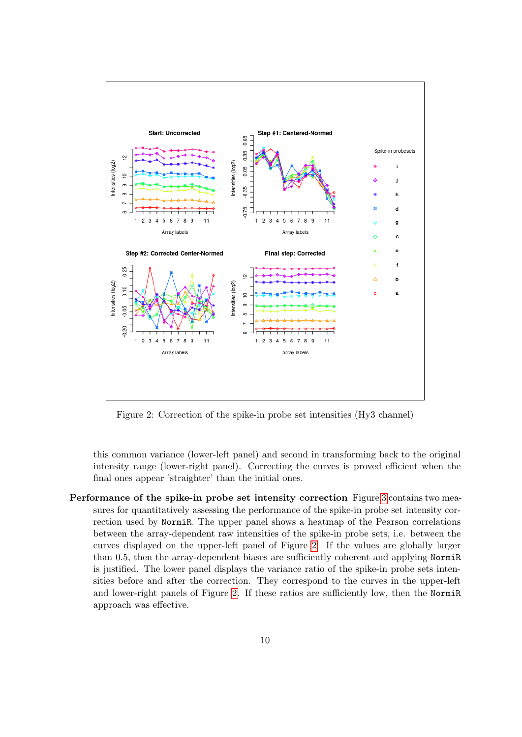

<span id="page-9-0"></span>Figure 2: Correction of the spike-in probe set intensities (Hy3 channel)

this common variance (lower-left panel) and second in transforming back to the original intensity range (lower-right panel). Correcting the curves is proved efficient when the final ones appear 'straighter' than the initial ones.

Performance of the spike-in probe set intensity correction Figure [3](#page-10-1) contains two measures for quantitatively assessing the performance of the spike-in probe set intensity correction used by NormiR. The upper panel shows a heatmap of the Pearson correlations between the array-dependent raw intensities of the spike-in probe sets, i.e. between the curves displayed on the upper-left panel of Figure [2.](#page-9-0) If the values are globally larger than 0.5, then the array-dependent biases are sufficiently coherent and applying NormiR is justified. The lower panel displays the variance ratio of the spike-in probe sets intensities before and after the correction. They correspond to the curves in the upper-left and lower-right panels of Figure [2.](#page-9-0) If these ratios are sufficiently low, then the NormiR approach was effective.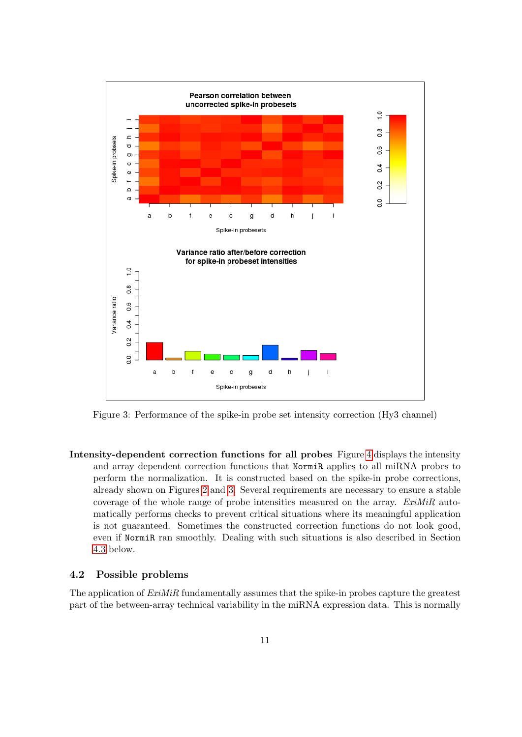

<span id="page-10-1"></span>Figure 3: Performance of the spike-in probe set intensity correction (Hy3 channel)

Intensity-dependent correction functions for all probes Figure [4](#page-11-0) displays the intensity and array dependent correction functions that NormiR applies to all miRNA probes to perform the normalization. It is constructed based on the spike-in probe corrections, already shown on Figures [2](#page-9-0) and [3.](#page-10-1) Several requirements are necessary to ensure a stable coverage of the whole range of probe intensities measured on the array. ExiMiR automatically performs checks to prevent critical situations where its meaningful application is not guaranteed. Sometimes the constructed correction functions do not look good, even if NormiR ran smoothly. Dealing with such situations is also described in Section [4.3](#page-12-0) below.

#### <span id="page-10-0"></span>4.2 Possible problems

The application of  $ExIMiR$  fundamentally assumes that the spike-in probes capture the greatest part of the between-array technical variability in the miRNA expression data. This is normally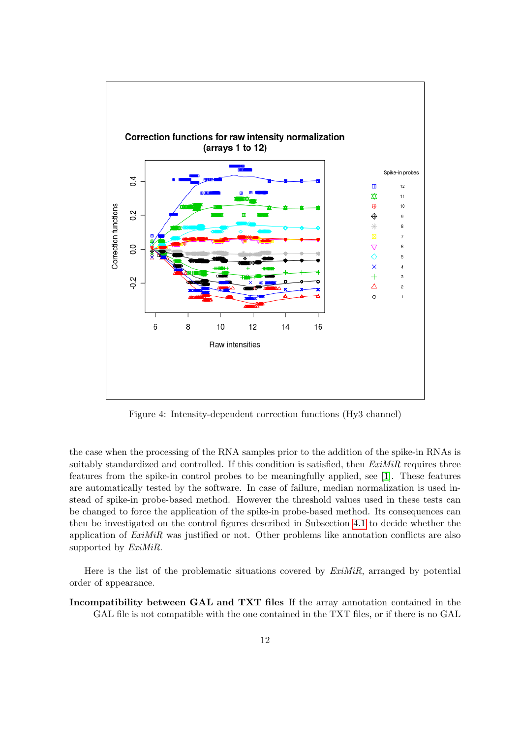

<span id="page-11-0"></span>Figure 4: Intensity-dependent correction functions (Hy3 channel)

the case when the processing of the RNA samples prior to the addition of the spike-in RNAs is suitably standardized and controlled. If this condition is satisfied, then  $ExiMiR$  requires three features from the spike-in control probes to be meaningfully applied, see [\[1\]](#page-16-0). These features are automatically tested by the software. In case of failure, median normalization is used instead of spike-in probe-based method. However the threshold values used in these tests can be changed to force the application of the spike-in probe-based method. Its consequences can then be investigated on the control figures described in Subsection [4.1](#page-8-1) to decide whether the application of ExiMiR was justified or not. Other problems like annotation conflicts are also supported by  $ExiMiR$ .

Here is the list of the problematic situations covered by  $ExiMiR$ , arranged by potential order of appearance.

Incompatibility between GAL and TXT files If the array annotation contained in the GAL file is not compatible with the one contained in the TXT files, or if there is no GAL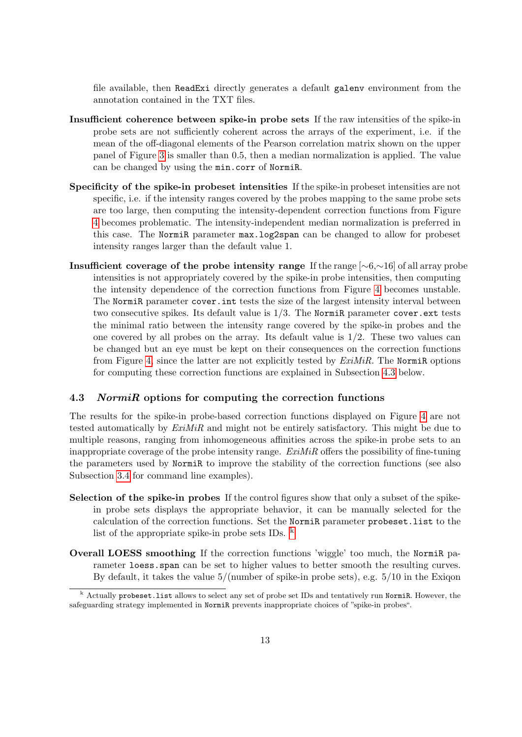file available, then ReadExi directly generates a default galenv environment from the annotation contained in the TXT files.

- Insufficient coherence between spike-in probe sets If the raw intensities of the spike-in probe sets are not sufficiently coherent across the arrays of the experiment, i.e. if the mean of the off-diagonal elements of the Pearson correlation matrix shown on the upper panel of Figure [3](#page-10-1) is smaller than 0.5, then a median normalization is applied. The value can be changed by using the min.corr of NormiR.
- Specificity of the spike-in probeset intensities If the spike-in probeset intensities are not specific, i.e. if the intensity ranges covered by the probes mapping to the same probe sets are too large, then computing the intensity-dependent correction functions from Figure [4](#page-11-0) becomes problematic. The intensity-independent median normalization is preferred in this case. The NormiR parameter max.log2span can be changed to allow for probeset intensity ranges larger than the default value 1.
- Insufficient coverage of the probe intensity range If the range [∼6,∼16] of all array probe intensities is not appropriately covered by the spike-in probe intensities, then computing the intensity dependence of the correction functions from Figure [4](#page-11-0) becomes unstable. The NormiR parameter cover.int tests the size of the largest intensity interval between two consecutive spikes. Its default value is  $1/3$ . The NormiR parameter cover. ext tests the minimal ratio between the intensity range covered by the spike-in probes and the one covered by all probes on the array. Its default value is  $1/2$ . These two values can be changed but an eye must be kept on their consequences on the correction functions from Figure [4,](#page-11-0) since the latter are not explicitly tested by  $ExiMiR$ . The NormiR options for computing these correction functions are explained in Subsection [4.3](#page-12-0) below.

#### <span id="page-12-0"></span>4.3 NormiR options for computing the correction functions

The results for the spike-in probe-based correction functions displayed on Figure [4](#page-11-0) are not tested automatically by  $ExiMiR$  and might not be entirely satisfactory. This might be due to multiple reasons, ranging from inhomogeneous affinities across the spike-in probe sets to an inappropriate coverage of the probe intensity range.  $ExiMiR$  offers the possibility of fine-tuning the parameters used by NormiR to improve the stability of the correction functions (see also Subsection [3.4](#page-6-0) for command line examples).

- Selection of the spike-in probes If the control figures show that only a subset of the spikein probe sets displays the appropriate behavior, it can be manually selected for the calculation of the correction functions. Set the NormiR parameter probeset.list to the list of the appropriate spi[k](#page-12-1)e-in probe sets IDs.  $\frac{k}{\epsilon}$
- Overall LOESS smoothing If the correction functions 'wiggle' too much, the NormiR parameter loess.span can be set to higher values to better smooth the resulting curves. By default, it takes the value 5/(number of spike-in probe sets), e.g. 5/10 in the Exiqon

<span id="page-12-1"></span>k Actually probeset.list allows to select any set of probe set IDs and tentatively run NormiR. However, the safeguarding strategy implemented in NormiR prevents inappropriate choices of "spike-in probes".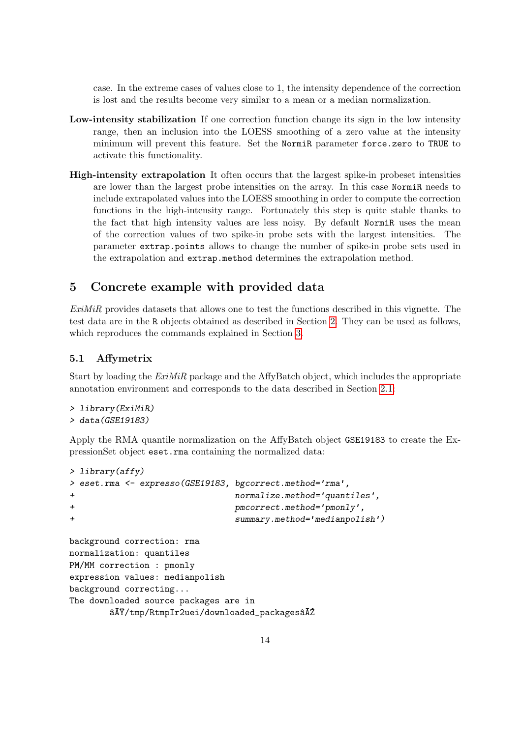case. In the extreme cases of values close to 1, the intensity dependence of the correction is lost and the results become very similar to a mean or a median normalization.

- Low-intensity stabilization If one correction function change its sign in the low intensity range, then an inclusion into the LOESS smoothing of a zero value at the intensity minimum will prevent this feature. Set the NormiR parameter force.zero to TRUE to activate this functionality.
- High-intensity extrapolation It often occurs that the largest spike-in probeset intensities are lower than the largest probe intensities on the array. In this case NormiR needs to include extrapolated values into the LOESS smoothing in order to compute the correction functions in the high-intensity range. Fortunately this step is quite stable thanks to the fact that high intensity values are less noisy. By default NormiR uses the mean of the correction values of two spike-in probe sets with the largest intensities. The parameter extrap.points allows to change the number of spike-in probe sets used in the extrapolation and extrap.method determines the extrapolation method.

# <span id="page-13-0"></span>5 Concrete example with provided data

ExiMiR provides datasets that allows one to test the functions described in this vignette. The test data are in the R objects obtained as described in Section [2.](#page-2-0) They can be used as follows, which reproduces the commands explained in Section [3.](#page-2-3)

## <span id="page-13-1"></span>5.1 Affymetrix

Start by loading the  $ExiMiR$  package and the AffyBatch object, which includes the appropriate annotation environment and corresponds to the data described in Section [2.1:](#page-2-1)

```
> library(ExiMiR)
> data(GSE19183)
```
Apply the RMA quantile normalization on the AffyBatch object GSE19183 to create the ExpressionSet object eset.rma containing the normalized data:

```
> library(affy)
> eset.rma <- expresso(GSE19183, bgcorrect.method='rma',
+ normalize.method='quantiles',
+ pmcorrect.method='pmonly',
+ summary.method='medianpolish')
background correction: rma
normalization: quantiles
PM/MM correction : pmonly
expression values: medianpolish
background correcting...
The downloaded source packages are in
       \tilde{a} \tilde{A} \tilde{Y}/\text{tmp/RtmpIr2uei/downloaded_packages}\tilde{a}\tilde{A}\tilde{Z}
```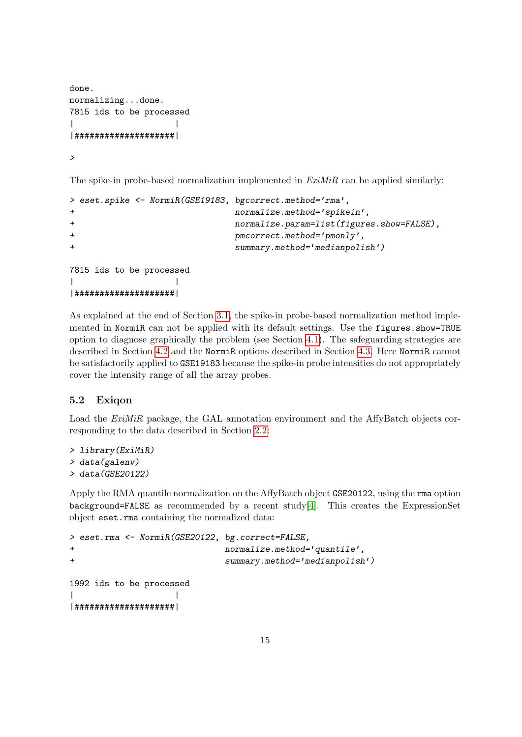```
done.
normalizing...done.
7815 ids to be processed
| |
|####################|
```
>

The spike-in probe-based normalization implemented in  $ExiMiR$  can be applied similarly:

```
> eset.spike <- NormiR(GSE19183, bgcorrect.method='rma',
+ normalize.method='spikein',
+ normalize.param=list(figures.show=FALSE),
+ pmcorrect.method='pmonly',
+ summary.method='medianpolish')
7815 ids to be processed
| |
|####################|
```
As explained at the end of Section [3.1,](#page-3-0) the spike-in probe-based normalization method implemented in NormiR can not be applied with its default settings. Use the figures.show=TRUE option to diagnose graphically the problem (see Section [4.1\)](#page-8-1). The safeguarding strategies are described in Section [4.2](#page-10-0) and the NormiR options described in Section [4.3.](#page-12-0) Here NormiR cannot be satisfactorily applied to GSE19183 because the spike-in probe intensities do not appropriately cover the intensity range of all the array probes.

#### <span id="page-14-0"></span>5.2 Exiqon

Load the ExiMiR package, the GAL annotation environment and the AffyBatch objects corresponding to the data described in Section [2.2:](#page-2-2)

```
> library(ExiMiR)
> data(galenv)
> data(GSE20122)
```
Apply the RMA quantile normalization on the AffyBatch object GSE20122, using the rma option background=FALSE as recommended by a recent study[\[4\]](#page-16-3). This creates the ExpressionSet object eset.rma containing the normalized data:

```
> eset.rma <- NormiR(GSE20122, bg.correct=FALSE,
+ normalize.method='quantile',
+ summary.method='medianpolish')
1992 ids to be processed
| |
```
|####################|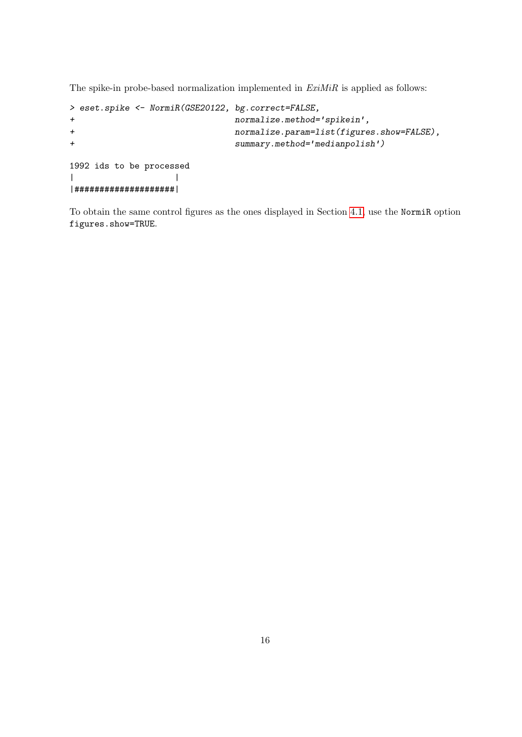The spike-in probe-based normalization implemented in  $ExiMiR$  is applied as follows:

```
> eset.spike <- NormiR(GSE20122, bg.correct=FALSE,
+ normalize.method='spikein',
+ normalize.param=list(figures.show=FALSE),
+ summary.method='medianpolish')
1992 ids to be processed
| |
|####################|
```
To obtain the same control figures as the ones displayed in Section [4.1,](#page-8-1) use the NormiR option figures.show=TRUE.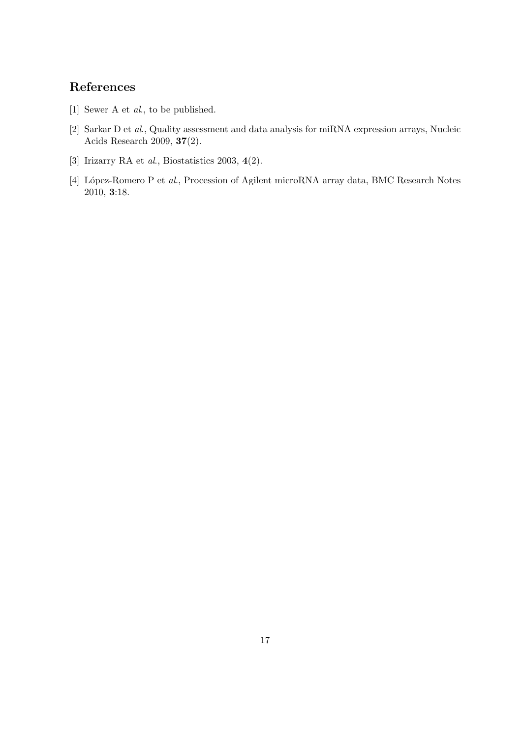# References

- <span id="page-16-0"></span>[1] Sewer A et al., to be published.
- <span id="page-16-1"></span>[2] Sarkar D et al., Quality assessment and data analysis for miRNA expression arrays, Nucleic Acids Research 2009, 37(2).
- <span id="page-16-2"></span>[3] Irizarry RA et al., Biostatistics 2003, 4(2).
- <span id="page-16-3"></span>[4] López-Romero P et al., Procession of Agilent microRNA array data, BMC Research Notes 2010, 3:18.